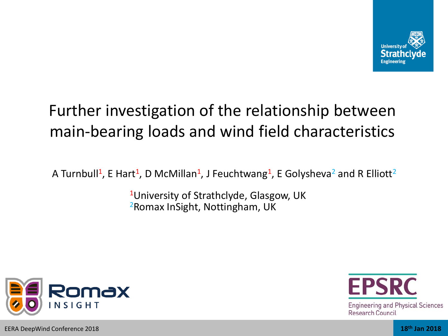

# Further investigation of the relationship between main-bearing loads and wind field characteristics

A Turnbull<sup>1</sup>, E Hart<sup>1</sup>, D McMillan<sup>1</sup>, J Feuchtwang<sup>1</sup>, E Golysheva<sup>2</sup> and R Elliott<sup>2</sup>

<sup>1</sup>University of Strathclyde, Glasgow, UK <sup>2</sup>Romax InSight, Nottingham, UK



**Engineering and Physical Sciences Research Council**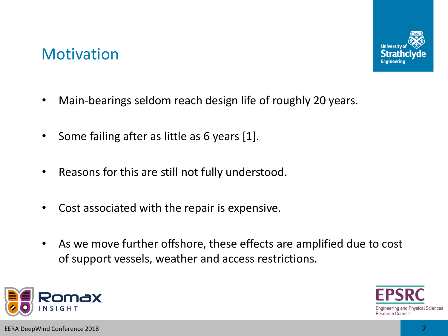### **Motivation**



- Main-bearings seldom reach design life of roughly 20 years.
- Some failing after as little as 6 years [1].
- Reasons for this are still not fully understood.
- Cost associated with the repair is expensive.
- As we move further offshore, these effects are amplified due to cost of support vessels, weather and access restrictions.

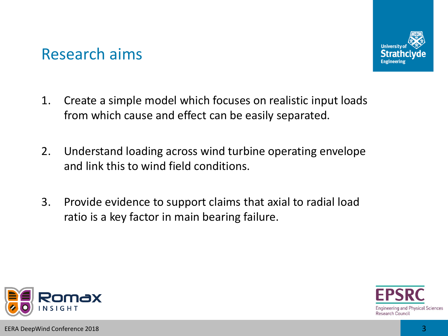

### Research aims

- 1. Create a simple model which focuses on realistic input loads from which cause and effect can be easily separated.
- 2. Understand loading across wind turbine operating envelope and link this to wind field conditions.
- 3. Provide evidence to support claims that axial to radial load ratio is a key factor in main bearing failure.

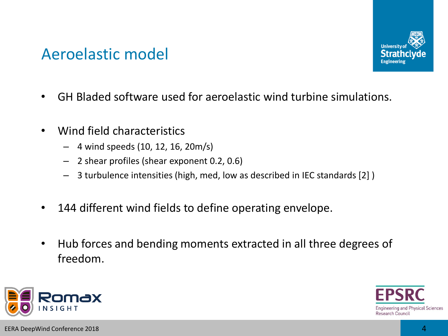

### Aeroelastic model

- GH Bladed software used for aeroelastic wind turbine simulations.
- Wind field characteristics
	- 4 wind speeds (10, 12, 16, 20m/s)
	- 2 shear profiles (shear exponent 0.2, 0.6)
	- 3 turbulence intensities (high, med, low as described in IEC standards [2] )
- 144 different wind fields to define operating envelope.
- Hub forces and bending moments extracted in all three degrees of freedom.

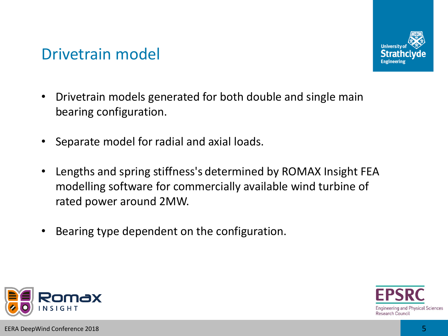

### Drivetrain model

- Drivetrain models generated for both double and single main bearing configuration.
- Separate model for radial and axial loads.
- Lengths and spring stiffness's determined by ROMAX Insight FEA modelling software for commercially available wind turbine of rated power around 2MW.
- Bearing type dependent on the configuration.

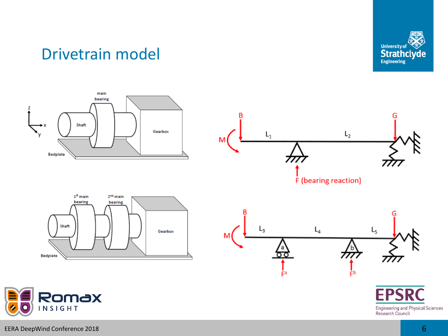

### Drivetrain model

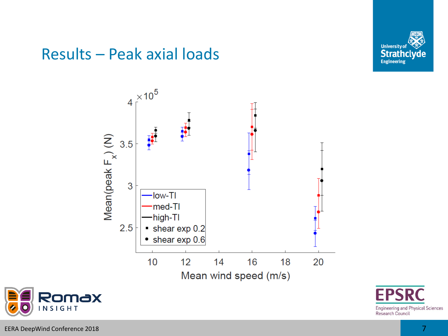

### Results – Peak axial loads





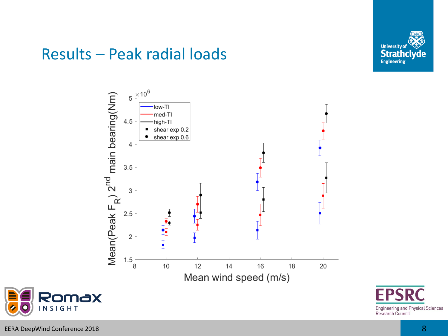

### Results – Peak radial loads





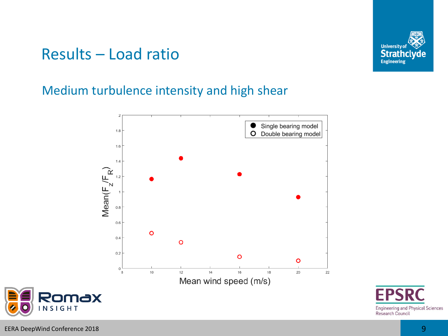

### Results – Load ratio

#### Medium turbulence intensity and high shear





**INSIGHT**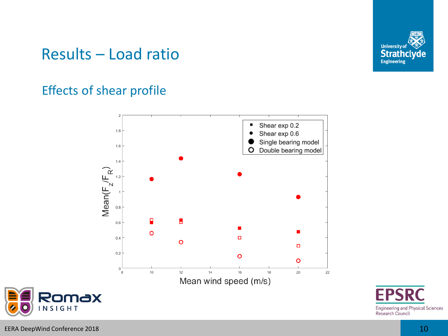

### Results – Load ratio

#### Effects of shear profile





**INSIGHT**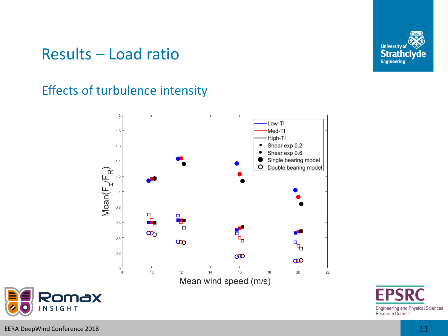

### Results – Load ratio

#### Effects of turbulence intensity







**INSIGHT**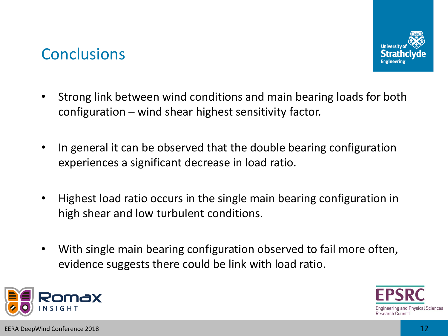### **Conclusions**



- Strong link between wind conditions and main bearing loads for both configuration – wind shear highest sensitivity factor.
- In general it can be observed that the double bearing configuration experiences a significant decrease in load ratio.
- Highest load ratio occurs in the single main bearing configuration in high shear and low turbulent conditions.
- With single main bearing configuration observed to fail more often, evidence suggests there could be link with load ratio.

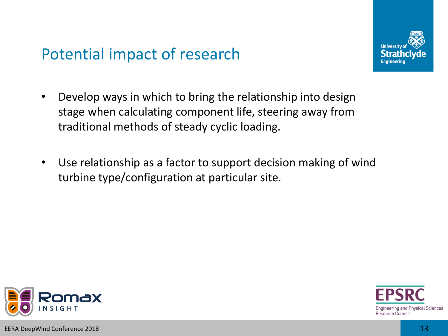## Potential impact of research



- Develop ways in which to bring the relationship into design stage when calculating component life, steering away from traditional methods of steady cyclic loading.
- Use relationship as a factor to support decision making of wind turbine type/configuration at particular site.